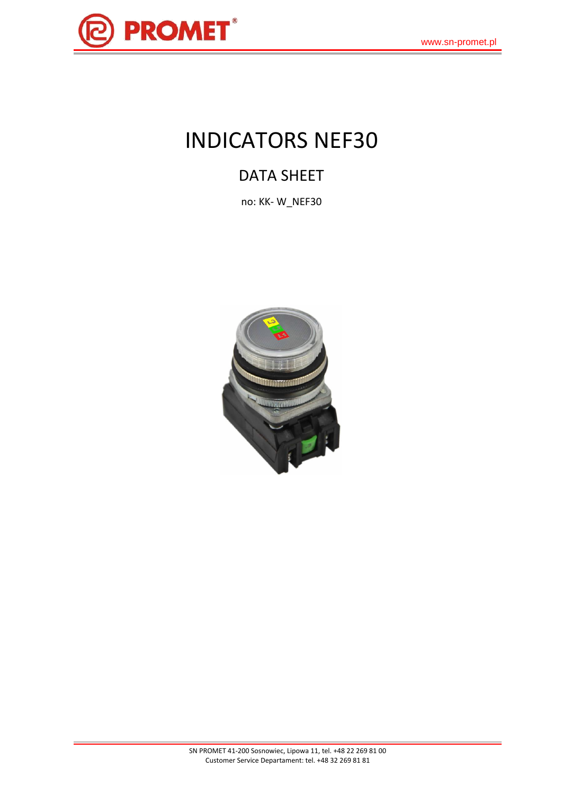

# INDICATORS NEF30

# DATA SHEET

no: KK- W\_NEF30

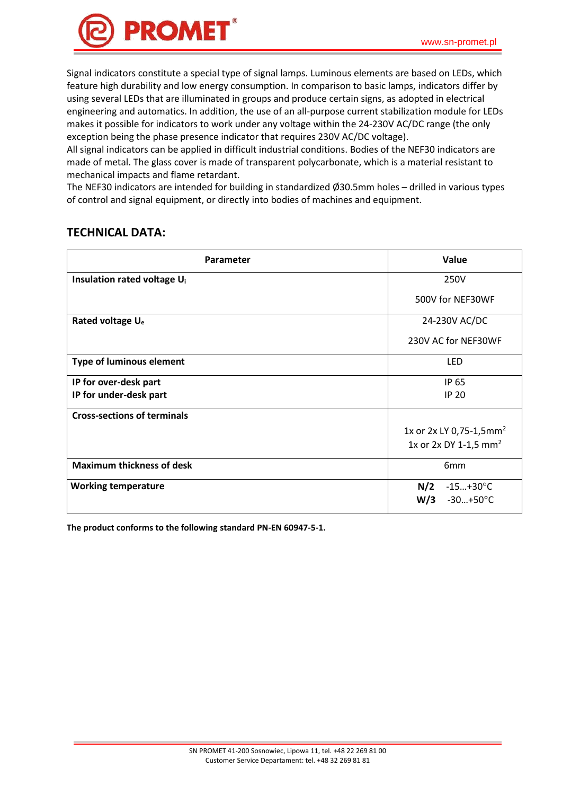

Signal indicators constitute a special type of signal lamps. Luminous elements are based on LEDs, which feature high durability and low energy consumption. In comparison to basic lamps, indicators differ by using several LEDs that are illuminated in groups and produce certain signs, as adopted in electrical engineering and automatics. In addition, the use of an all-purpose current stabilization module for LEDs makes it possible for indicators to work under any voltage within the 24-230V AC/DC range (the only exception being the phase presence indicator that requires 230V AC/DC voltage).

All signal indicators can be applied in difficult industrial conditions. Bodies of the NEF30 indicators are made of metal. The glass cover is made of transparent polycarbonate, which is a material resistant to mechanical impacts and flame retardant.

The NEF30 indicators are intended for building in standardized Ø30.5mm holes – drilled in various types of control and signal equipment, or directly into bodies of machines and equipment.

| Parameter                               | Value                               |  |
|-----------------------------------------|-------------------------------------|--|
| Insulation rated voltage U <sub>i</sub> | 250V                                |  |
|                                         | 500V for NEF30WF                    |  |
| Rated voltage U <sub>e</sub>            | 24-230V AC/DC                       |  |
|                                         | 230V AC for NEF30WF                 |  |
| <b>Type of luminous element</b>         | LED                                 |  |
| IP for over-desk part                   | IP 65                               |  |
| IP for under-desk part                  | <b>IP 20</b>                        |  |
| <b>Cross-sections of terminals</b>      |                                     |  |
|                                         | 1x or 2x LY 0,75-1,5mm <sup>2</sup> |  |
|                                         | 1x or 2x DY 1-1,5 mm <sup>2</sup>   |  |
| <b>Maximum thickness of desk</b>        | 6mm                                 |  |
| <b>Working temperature</b>              | N/2<br>$-15+30^{\circ}C$            |  |
|                                         | W/3<br>-30…+50°C                    |  |

#### **TECHNICAL DATA:**

**The product conforms to the following standard PN-EN 60947-5-1.**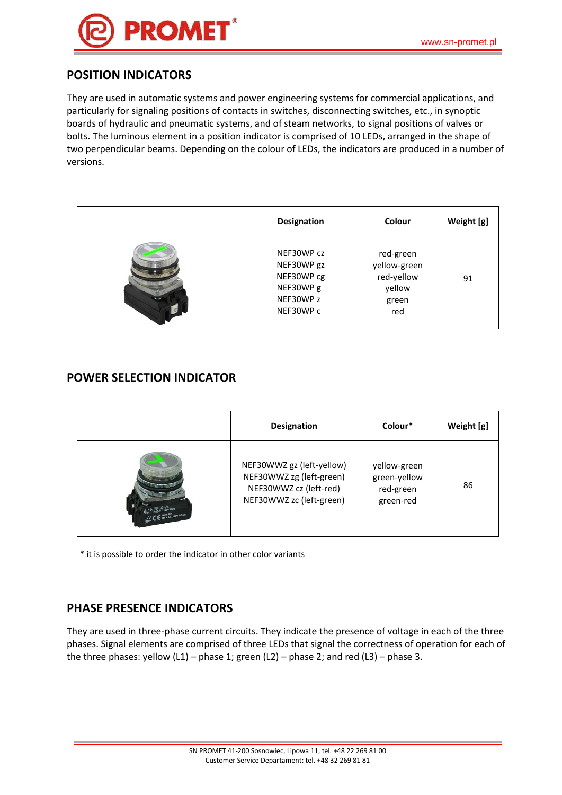#### **POSITION INDICATORS**

They are used in automatic systems and power engineering systems for commercial applications, and particularly for signaling positions of contacts in switches, disconnecting switches, etc., in synoptic boards of hydraulic and pneumatic systems, and of steam networks, to signal positions of valves or bolts. The luminous element in a position indicator is comprised of 10 LEDs, arranged in the shape of two perpendicular beams. Depending on the colour of LEDs, the indicators are produced in a number of versions.

| <b>Designation</b>                                                            | Colour                                                            | Weight [g] |
|-------------------------------------------------------------------------------|-------------------------------------------------------------------|------------|
| NEF30WP cz<br>NEF30WP gz<br>NEF30WP cg<br>NEF30WP g<br>NEF30WP z<br>NEF30WP c | red-green<br>yellow-green<br>red-yellow<br>yellow<br>green<br>red | 91         |

#### **POWER SELECTION INDICATOR**

|                        | <b>Designation</b>                                                                                          | Colour*                                                | Weight [g] |
|------------------------|-------------------------------------------------------------------------------------------------------------|--------------------------------------------------------|------------|
| CE Un = 24, 230V AC.DC | NEF30WWZ gz (left-yellow)<br>NEF30WWZ zg (left-green)<br>NEF30WWZ cz (left-red)<br>NEF30WWZ zc (left-green) | yellow-green<br>green-yellow<br>red-green<br>green-red | 86         |

\* it is possible to order the indicator in other color variants

### **PHASE PRESENCE INDICATORS**

They are used in three-phase current circuits. They indicate the presence of voltage in each of the three phases. Signal elements are comprised of three LEDs that signal the correctness of operation for each of the three phases: yellow  $(L1)$  – phase 1; green  $(L2)$  – phase 2; and red  $(L3)$  – phase 3.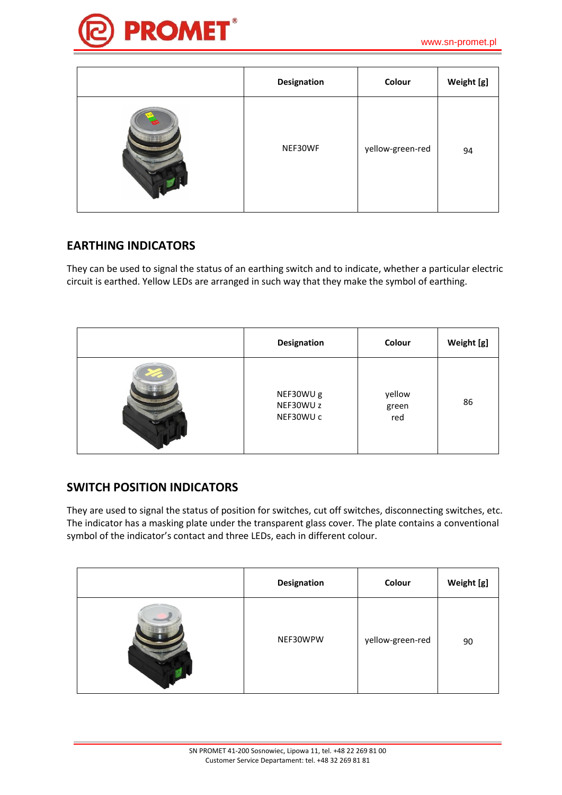

| Designation | Colour           | Weight [g] |
|-------------|------------------|------------|
| NEF30WF     | yellow-green-red | 94         |

### **EARTHING INDICATORS**

They can be used to signal the status of an earthing switch and to indicate, whether a particular electric circuit is earthed. Yellow LEDs are arranged in such way that they make the symbol of earthing.

| <b>Designation</b>                  | Colour                 | Weight [g] |
|-------------------------------------|------------------------|------------|
| NEF30WU g<br>NEF30WU z<br>NEF30WU c | yellow<br>green<br>red | 86         |

#### **SWITCH POSITION INDICATORS**

They are used to signal the status of position for switches, cut off switches, disconnecting switches, etc. The indicator has a masking plate under the transparent glass cover. The plate contains a conventional symbol of the indicator's contact and three LEDs, each in different colour.

| Designation | Colour           | Weight [g] |
|-------------|------------------|------------|
| NEF30WPW    | yellow-green-red | 90         |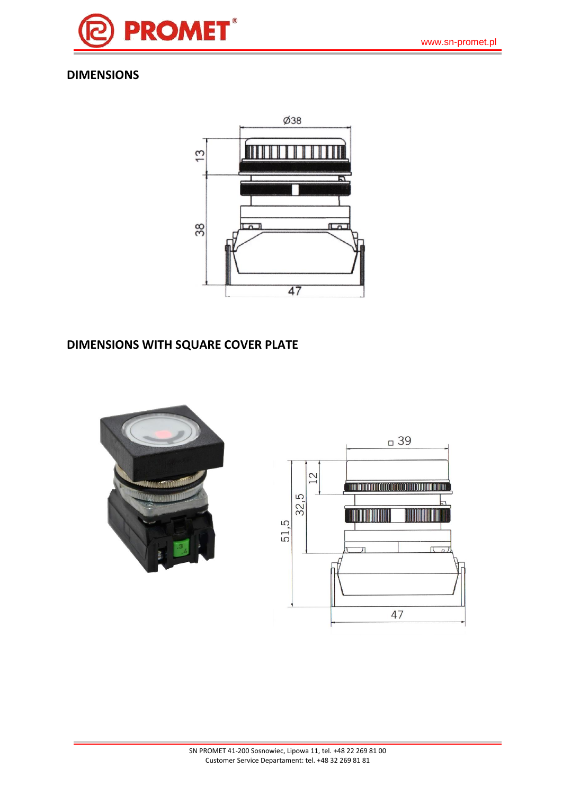

## **DIMENSIONS**



## **DIMENSIONS WITH SQUARE COVER PLATE**



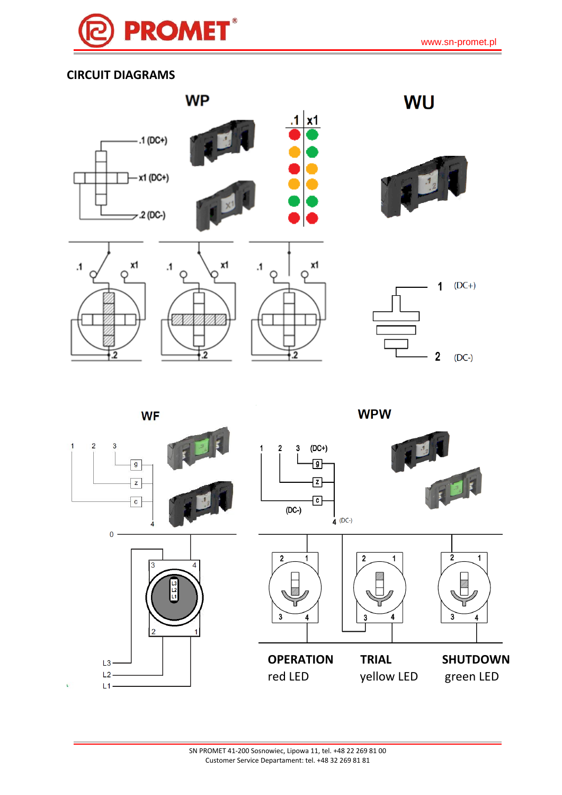

# **CIRCUIT DIAGRAMS**



**WF** 

2

2

**WPW** 

 $\mathbf 2$ 

 $(DC-)$ 



 $\overline{2}$